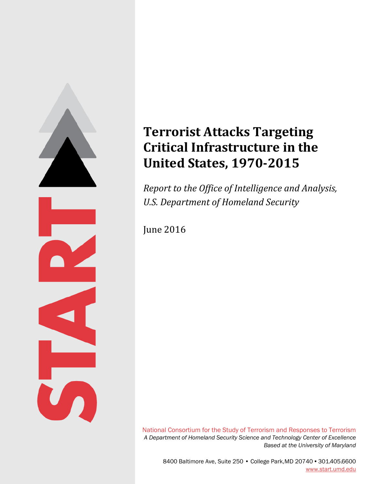

# **Terrorist Attacks Targeting Critical Infrastructure in the United States, 1970‐2015**

*Report to the Office of Intelligence and Analysis, U.S. Department of Homeland Security*

**June 2016** 

National Consortium for the Study of Terrorism and Responses to Terrorism *A Department of Homeland Security Science and Technology Center of Excellence Based at the University of Maryland*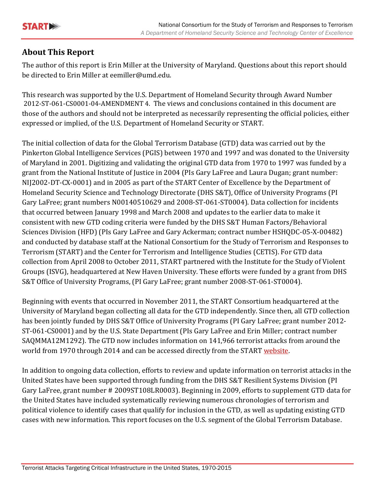

# **About This Report**

The author of this report is Erin Miller at the University of Maryland. Questions about this report should be directed to Erin Miller at eemiller@umd.edu.

This research was supported by the U.S. Department of Homeland Security through Award Number 2012-ST-061-CS0001-04-AMENDMENT 4. The views and conclusions contained in this document are those of the authors and should not be interpreted as necessarily representing the official policies, either expressed or implied, of the U.S. Department of Homeland Security or START.

The initial collection of data for the Global Terrorism Database (GTD) data was carried out by the Pinkerton Global Intelligence Services (PGIS) between 1970 and 1997 and was donated to the University of Maryland in 2001. Digitizing and validating the original GTD data from 1970 to 1997 was funded by a grant from the National Institute of Justice in 2004 (PIs Gary LaFree and Laura Dugan; grant number: NIJ2002-DT-CX-0001) and in 2005 as part of the START Center of Excellence by the Department of Homeland Security Science and Technology Directorate (DHS S&T), Office of University Programs (PI Gary LaFree; grant numbers N00140510629 and 2008-ST-061-ST0004). Data collection for incidents that occurred between January 1998 and March 2008 and updates to the earlier data to make it consistent with new GTD coding criteria were funded by the DHS S&T Human Factors/Behavioral Sciences Division (HFD) (PIs Gary LaFree and Gary Ackerman; contract number HSHQDC-05-X-00482) and conducted by database staff at the National Consortium for the Study of Terrorism and Responses to Terrorism (START) and the Center for Terrorism and Intelligence Studies (CETIS). For GTD data collection from April 2008 to October 2011, START partnered with the Institute for the Study of Violent Groups (ISVG), headquartered at New Haven University. These efforts were funded by a grant from DHS S&T Office of University Programs, (PI Gary LaFree; grant number 2008-ST-061-ST0004).

Beginning with events that occurred in November 2011, the START Consortium headquartered at the University of Maryland began collecting all data for the GTD independently. Since then, all GTD collection has been jointly funded by DHS S&T Office of University Programs (PI Gary LaFree; grant number 2012-ST-061-CS0001) and by the U.S. State Department (PIs Gary LaFree and Erin Miller; contract number SAQMMA12M1292). The GTD now includes information on 141,966 terrorist attacks from around the world from 1970 through 2014 and can be accessed directly from the START website.

In addition to ongoing data collection, efforts to review and update information on terrorist attacks in the United States have been supported through funding from the DHS S&T Resilient Systems Division (PI) Gary LaFree, grant number # 2009ST108LR0003). Beginning in 2009, efforts to supplement GTD data for the United States have included systematically reviewing numerous chronologies of terrorism and political violence to identify cases that qualify for inclusion in the GTD, as well as updating existing GTD cases with new information. This report focuses on the U.S. segment of the Global Terrorism Database.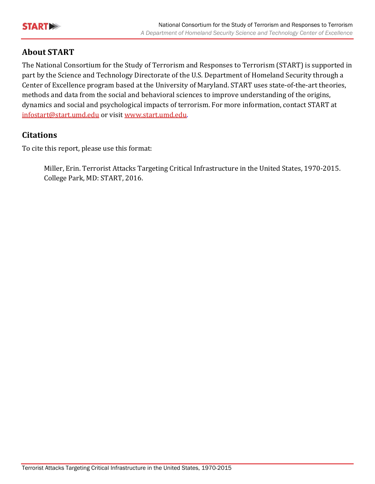

## **About START**

The National Consortium for the Study of Terrorism and Responses to Terrorism (START) is supported in part by the Science and Technology Directorate of the U.S. Department of Homeland Security through a Center of Excellence program based at the University of Maryland. START uses state-of-the-art theories, methods and data from the social and behavioral sciences to improve understanding of the origins, dynamics and social and psychological impacts of terrorism. For more information, contact START at infostart@start.umd.edu or visit www.start.umd.edu.

# **Citations**

To cite this report, please use this format:

Miller, Erin. Terrorist Attacks Targeting Critical Infrastructure in the United States, 1970-2015. College Park, MD: START, 2016.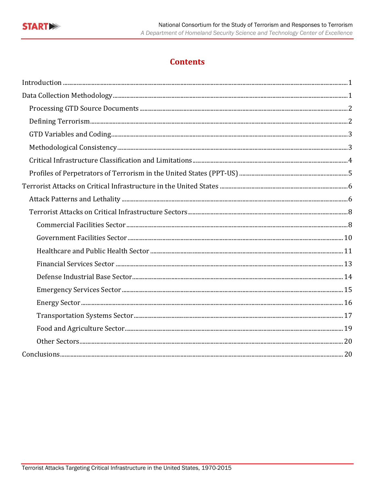

# **Contents**

| Conclusions. 20 |  |
|-----------------|--|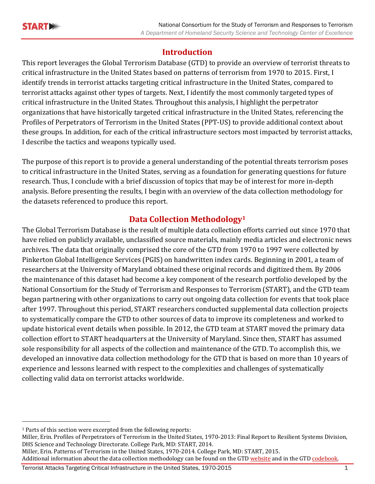# **Introduction**

This report leverages the Global Terrorism Database (GTD) to provide an overview of terrorist threats to critical infrastructure in the United States based on patterns of terrorism from 1970 to 2015. First, I identify trends in terrorist attacks targeting critical infrastructure in the United States, compared to terrorist attacks against other types of targets. Next, I identify the most commonly targeted types of critical infrastructure in the United States. Throughout this analysis, I highlight the perpetrator organizations that have historically targeted critical infrastructure in the United States, referencing the Profiles of Perpetrators of Terrorism in the United States (PPT-US) to provide additional context about these groups. In addition, for each of the critical infrastructure sectors most impacted by terrorist attacks, I describe the tactics and weapons typically used.

The purpose of this report is to provide a general understanding of the potential threats terrorism poses to critical infrastructure in the United States, serving as a foundation for generating questions for future research. Thus, I conclude with a brief discussion of topics that may be of interest for more in-depth analysis. Before presenting the results, I begin with an overview of the data collection methodology for the datasets referenced to produce this report.

# **Data Collection Methodology1**

The Global Terrorism Database is the result of multiple data collection efforts carried out since 1970 that have relied on publicly available, unclassified source materials, mainly media articles and electronic news archives. The data that originally comprised the core of the GTD from 1970 to 1997 were collected by Pinkerton Global Intelligence Services (PGIS) on handwritten index cards. Beginning in 2001, a team of researchers at the University of Maryland obtained these original records and digitized them. By 2006 the maintenance of this dataset had become a key component of the research portfolio developed by the National Consortium for the Study of Terrorism and Responses to Terrorism (START), and the GTD team began partnering with other organizations to carry out ongoing data collection for events that took place after 1997. Throughout this period, START researchers conducted supplemental data collection projects to systematically compare the GTD to other sources of data to improve its completeness and worked to update historical event details when possible. In 2012, the GTD team at START moved the primary data collection effort to START headquarters at the University of Maryland. Since then, START has assumed sole responsibility for all aspects of the collection and maintenance of the GTD. To accomplish this, we developed an innovative data collection methodology for the GTD that is based on more than 10 years of experience and lessons learned with respect to the complexities and challenges of systematically collecting valid data on terrorist attacks worldwide.

 

Miller, Erin. Profiles of Perpetrators of Terrorism in the United States, 1970-2013: Final Report to Resilient Systems Division, DHS Science and Technology Directorate. College Park, MD: START, 2014.

Miller, Erin. Patterns of Terrorism in the United States, 1970-2014. College Park, MD: START, 2015.

 $1$  Parts of this section were excerpted from the following reports:

Additional information about the data collection methodology can be found on the GTD website and in the GTD codebook.

Terrorist Attacks Targeting Critical Infrastructure in the United States, 1970-2015 1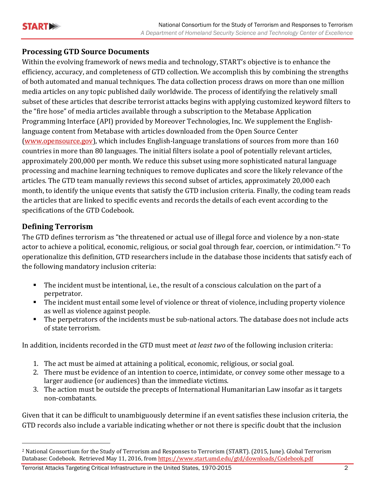

## **Processing GTD Source Documents**

Within the evolving framework of news media and technology, START's objective is to enhance the efficiency, accuracy, and completeness of GTD collection. We accomplish this by combining the strengths of both automated and manual techniques. The data collection process draws on more than one million media articles on any topic published daily worldwide. The process of identifying the relatively small subset of these articles that describe terrorist attacks begins with applying customized keyword filters to the "fire hose" of media articles available through a subscription to the Metabase Application Programming Interface (API) provided by Moreover Technologies, Inc. We supplement the Englishlanguage content from Metabase with articles downloaded from the Open Source Center (www.opensource.gov), which includes English-language translations of sources from more than 160 countries in more than 80 languages. The initial filters isolate a pool of potentially relevant articles, approximately 200,000 per month. We reduce this subset using more sophisticated natural language processing and machine learning techniques to remove duplicates and score the likely relevance of the articles. The GTD team manually reviews this second subset of articles, approximately 20,000 each month, to identify the unique events that satisfy the GTD inclusion criteria. Finally, the coding team reads the articles that are linked to specific events and records the details of each event according to the specifications of the GTD Codebook.

# **Defining Terrorism**

 

The GTD defines terrorism as "the threatened or actual use of illegal force and violence by a non-state actor to achieve a political, economic, religious, or social goal through fear, coercion, or intimidation."<sup>2</sup> To operationalize this definition, GTD researchers include in the database those incidents that satisfy each of the following mandatory inclusion criteria:

- The incident must be intentional, i.e., the result of a conscious calculation on the part of a perpetrator.
- The incident must entail some level of violence or threat of violence, including property violence as well as violence against people.
- The perpetrators of the incidents must be sub-national actors. The database does not include acts of state terrorism.

In addition, incidents recorded in the GTD must meet *at least two* of the following inclusion criteria:

- 1. The act must be aimed at attaining a political, economic, religious, or social goal.
- 2. There must be evidence of an intention to coerce, intimidate, or convey some other message to a larger audience (or audiences) than the immediate victims.
- 3. The action must be outside the precepts of International Humanitarian Law insofar as it targets non‐combatants.

Given that it can be difficult to unambiguously determine if an event satisfies these inclusion criteria, the GTD records also include a variable indicating whether or not there is specific doubt that the inclusion

<sup>&</sup>lt;sup>2</sup> National Consortium for the Study of Terrorism and Responses to Terrorism (START). (2015, June). Global Terrorism Database: Codebook. Retrieved May 11, 2016, from https://www.start.umd.edu/gtd/downloads/Codebook.pdf

Terrorist Attacks Targeting Critical Infrastructure in the United States, 1970-2015 2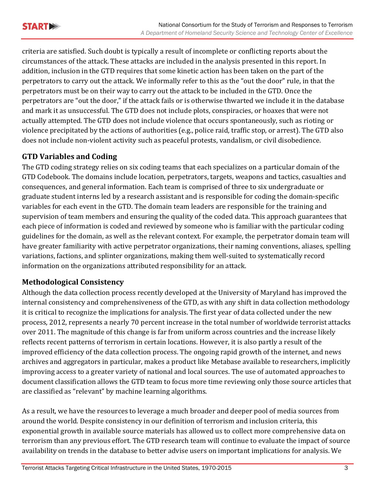criteria are satisfied. Such doubt is typically a result of incomplete or conflicting reports about the circumstances of the attack. These attacks are included in the analysis presented in this report. In addition, inclusion in the GTD requires that some kinetic action has been taken on the part of the perpetrators to carry out the attack. We informally refer to this as the "out the door" rule, in that the perpetrators must be on their way to carry out the attack to be included in the GTD. Once the perpetrators are "out the door," if the attack fails or is otherwise thwarted we include it in the database and mark it as unsuccessful. The GTD does not include plots, conspiracies, or hoaxes that were not actually attempted. The GTD does not include violence that occurs spontaneously, such as rioting or violence precipitated by the actions of authorities  $(e.g.,$  police raid, traffic stop, or arrest). The GTD also does not include non-violent activity such as peaceful protests, vandalism, or civil disobedience.

# **GTD Variables and Coding**

The GTD coding strategy relies on six coding teams that each specializes on a particular domain of the GTD Codebook. The domains include location, perpetrators, targets, weapons and tactics, casualties and consequences, and general information. Each team is comprised of three to six undergraduate or graduate student interns led by a research assistant and is responsible for coding the domain-specific variables for each event in the GTD. The domain team leaders are responsible for the training and supervision of team members and ensuring the quality of the coded data. This approach guarantees that each piece of information is coded and reviewed by someone who is familiar with the particular coding guidelines for the domain, as well as the relevant context. For example, the perpetrator domain team will have greater familiarity with active perpetrator organizations, their naming conventions, aliases, spelling variations, factions, and splinter organizations, making them well-suited to systematically record information on the organizations attributed responsibility for an attack.

# **Methodological Consistency**

Although the data collection process recently developed at the University of Maryland has improved the internal consistency and comprehensiveness of the GTD, as with any shift in data collection methodology it is critical to recognize the implications for analysis. The first year of data collected under the new process, 2012, represents a nearly 70 percent increase in the total number of worldwide terrorist attacks over 2011. The magnitude of this change is far from uniform across countries and the increase likely reflects recent patterns of terrorism in certain locations. However, it is also partly a result of the improved efficiency of the data collection process. The ongoing rapid growth of the internet, and news archives and aggregators in particular, makes a product like Metabase available to researchers, implicitly improving access to a greater variety of national and local sources. The use of automated approaches to document classification allows the GTD team to focus more time reviewing only those source articles that are classified as "relevant" by machine learning algorithms.

As a result, we have the resources to leverage a much broader and deeper pool of media sources from around the world. Despite consistency in our definition of terrorism and inclusion criteria, this exponential growth in available source materials has allowed us to collect more comprehensive data on terrorism than any previous effort. The GTD research team will continue to evaluate the impact of source availability on trends in the database to better advise users on important implications for analysis. We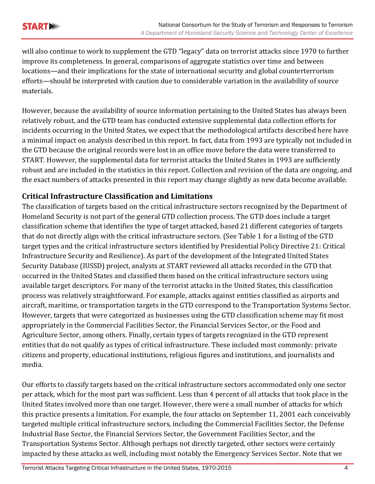will also continue to work to supplement the GTD "legacy" data on terrorist attacks since 1970 to further improve its completeness. In general, comparisons of aggregate statistics over time and between locations—and their implications for the state of international security and global counterterrorism efforts—should be interpreted with caution due to considerable variation in the availability of source materials. 

However, because the availability of source information pertaining to the United States has always been relatively robust, and the GTD team has conducted extensive supplemental data collection efforts for incidents occurring in the United States, we expect that the methodological artifacts described here have a minimal impact on analysis described in this report. In fact, data from 1993 are typically not included in the GTD because the original records were lost in an office move before the data were transferred to START. However, the supplemental data for terrorist attacks the United States in 1993 are sufficiently robust and are included in the statistics in this report. Collection and revision of the data are ongoing, and the exact numbers of attacks presented in this report may change slightly as new data become available.

# **Critical Infrastructure Classification and Limitations**

The classification of targets based on the critical infrastructure sectors recognized by the Department of Homeland Security is not part of the general GTD collection process. The GTD does include a target classification scheme that identifies the type of target attacked, based 21 different categories of targets that do not directly align with the critical infrastructure sectors. (See Table 1 for a listing of the GTD target types and the critical infrastructure sectors identified by Presidential Policy Directive 21: Critical Infrastructure Security and Resilience). As part of the development of the Integrated United States Security Database (IUSSD) project, analysts at START reviewed all attacks recorded in the GTD that occurred in the United States and classified them based on the critical infrastructure sectors using available target descriptors. For many of the terrorist attacks in the United States, this classification process was relatively straightforward. For example, attacks against entities classified as airports and aircraft, maritime, or transportation targets in the GTD correspond to the Transportation Systems Sector. However, targets that were categorized as businesses using the GTD classification scheme may fit most appropriately in the Commercial Facilities Sector, the Financial Services Sector, or the Food and Agriculture Sector, among others. Finally, certain types of targets recognized in the GTD represent entities that do not qualify as types of critical infrastructure. These included most commonly: private citizens and property, educational institutions, religious figures and institutions, and journalists and media. 

Our efforts to classify targets based on the critical infrastructure sectors accommodated only one sector per attack, which for the most part was sufficient. Less than 4 percent of all attacks that took place in the United States involved more than one target. However, there were a small number of attacks for which this practice presents a limitation. For example, the four attacks on September 11, 2001 each conceivably targeted multiple critical infrastructure sectors, including the Commercial Facilities Sector, the Defense Industrial Base Sector, the Financial Services Sector, the Government Facilities Sector, and the Transportation Systems Sector. Although perhaps not directly targeted, other sectors were certainly impacted by these attacks as well, including most notably the Emergency Services Sector. Note that we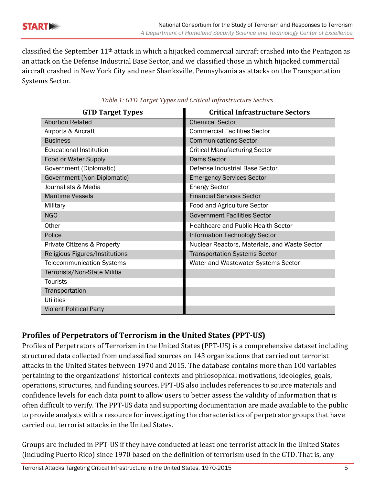

classified the September  $11<sup>th</sup>$  attack in which a hijacked commercial aircraft crashed into the Pentagon as an attack on the Defense Industrial Base Sector, and we classified those in which hijacked commercial aircraft crashed in New York City and near Shanksville, Pennsylvania as attacks on the Transportation Systems Sector.

| <b>GTD Target Types</b>          | <b>Critical Infrastructure Sectors</b>        |
|----------------------------------|-----------------------------------------------|
| <b>Abortion Related</b>          | <b>Chemical Sector</b>                        |
| Airports & Aircraft              | <b>Commercial Facilities Sector</b>           |
| <b>Business</b>                  | <b>Communications Sector</b>                  |
| <b>Educational Institution</b>   | <b>Critical Manufacturing Sector</b>          |
| Food or Water Supply             | <b>Dams Sector</b>                            |
| Government (Diplomatic)          | Defense Industrial Base Sector                |
| Government (Non-Diplomatic)      | <b>Emergency Services Sector</b>              |
| Journalists & Media              | <b>Energy Sector</b>                          |
| <b>Maritime Vessels</b>          | <b>Financial Services Sector</b>              |
| Military                         | Food and Agriculture Sector                   |
| <b>NGO</b>                       | <b>Government Facilities Sector</b>           |
| Other                            | <b>Healthcare and Public Health Sector</b>    |
| Police                           | Information Technology Sector                 |
| Private Citizens & Property      | Nuclear Reactors, Materials, and Waste Sector |
| Religious Figures/Institutions   | <b>Transportation Systems Sector</b>          |
| <b>Telecommunication Systems</b> | Water and Wastewater Systems Sector           |
| Terrorists/Non-State Militia     |                                               |
| <b>Tourists</b>                  |                                               |
| Transportation                   |                                               |
| <b>Utilities</b>                 |                                               |
| <b>Violent Political Party</b>   |                                               |

#### *Table 1: GTD Target Types and Critical Infrastructure Sectors*

# **Profiles of Perpetrators of Terrorism in the United States (PPT‐US)**

Profiles of Perpetrators of Terrorism in the United States (PPT-US) is a comprehensive dataset including structured data collected from unclassified sources on 143 organizations that carried out terrorist attacks in the United States between 1970 and 2015. The database contains more than 100 variables pertaining to the organizations' historical contexts and philosophical motivations, ideologies, goals, operations, structures, and funding sources. PPT-US also includes references to source materials and confidence levels for each data point to allow users to better assess the validity of information that is often difficult to verify. The PPT-US data and supporting documentation are made available to the public to provide analysts with a resource for investigating the characteristics of perpetrator groups that have carried out terrorist attacks in the United States.

Groups are included in PPT-US if they have conducted at least one terrorist attack in the United States (including Puerto Rico) since 1970 based on the definition of terrorism used in the GTD. That is, any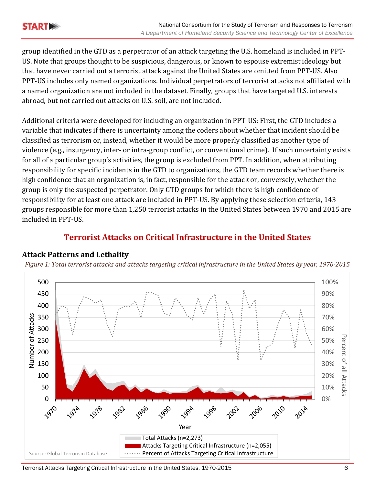group identified in the GTD as a perpetrator of an attack targeting the U.S. homeland is included in PPT-US. Note that groups thought to be suspicious, dangerous, or known to espouse extremist ideology but that have never carried out a terrorist attack against the United States are omitted from PPT-US. Also PPT-US includes only named organizations. Individual perpetrators of terrorist attacks not affiliated with a named organization are not included in the dataset. Finally, groups that have targeted U.S. interests abroad, but not carried out attacks on U.S. soil, are not included.

Additional criteria were developed for including an organization in PPT-US: First, the GTD includes a variable that indicates if there is uncertainty among the coders about whether that incident should be classified as terrorism or, instead, whether it would be more properly classified as another type of violence (e.g., insurgency, inter- or intra-group conflict, or conventional crime). If such uncertainty exists for all of a particular group's activities, the group is excluded from PPT. In addition, when attributing responsibility for specific incidents in the GTD to organizations, the GTD team records whether there is high confidence that an organization is, in fact, responsible for the attack or, conversely, whether the group is only the suspected perpetrator. Only GTD groups for which there is high confidence of responsibility for at least one attack are included in PPT-US. By applying these selection criteria, 143 groups responsible for more than 1,250 terrorist attacks in the United States between 1970 and 2015 are included in PPT-US.

# **Terrorist Attacks on Critical Infrastructure in the United States**



## **Attack Patterns and Lethality**

Figure 1: Total terrorist attacks and attacks targeting critical infrastructure in the United States by year, 1970-2015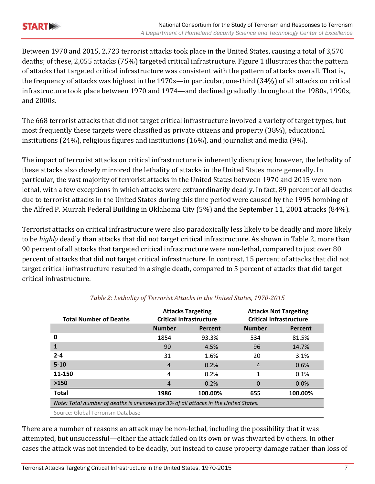

Between 1970 and 2015, 2,723 terrorist attacks took place in the United States, causing a total of 3,570 deaths; of these, 2,055 attacks (75%) targeted critical infrastructure. Figure 1 illustrates that the pattern of attacks that targeted critical infrastructure was consistent with the pattern of attacks overall. That is, the frequency of attacks was highest in the 1970s—in particular, one-third  $(34%)$  of all attacks on critical infrastructure took place between 1970 and 1974—and declined gradually throughout the 1980s, 1990s, and 2000s. 

The 668 terrorist attacks that did not target critical infrastructure involved a variety of target types, but most frequently these targets were classified as private citizens and property (38%), educational institutions  $(24%)$ , religious figures and institutions  $(16%)$ , and journalist and media  $(9%)$ .

The impact of terrorist attacks on critical infrastructure is inherently disruptive; however, the lethality of these attacks also closely mirrored the lethality of attacks in the United States more generally. In particular, the vast majority of terrorist attacks in the United States between 1970 and 2015 were nonlethal, with a few exceptions in which attacks were extraordinarily deadly. In fact, 89 percent of all deaths due to terrorist attacks in the United States during this time period were caused by the 1995 bombing of the Alfred P. Murrah Federal Building in Oklahoma City (5%) and the September 11, 2001 attacks (84%).

Terrorist attacks on critical infrastructure were also paradoxically less likely to be deadly and more likely to be *highly* deadly than attacks that did not target critical infrastructure. As shown in Table 2, more than 90 percent of all attacks that targeted critical infrastructure were non-lethal, compared to just over 80 percent of attacks that did not target critical infrastructure. In contrast, 15 percent of attacks that did not target critical infrastructure resulted in a single death, compared to 5 percent of attacks that did target critical infrastructure. 

| <b>Total Number of Deaths</b>                                                       | <b>Attacks Targeting</b><br><b>Critical Infrastructure</b> |         | <b>Attacks Not Targeting</b><br><b>Critical Infrastructure</b> |         |  |
|-------------------------------------------------------------------------------------|------------------------------------------------------------|---------|----------------------------------------------------------------|---------|--|
|                                                                                     | <b>Number</b>                                              | Percent | <b>Number</b>                                                  | Percent |  |
| 0                                                                                   | 1854                                                       | 93.3%   | 534                                                            | 81.5%   |  |
| 1                                                                                   | 90                                                         | 4.5%    | 96                                                             | 14.7%   |  |
| $2 - 4$                                                                             | 31                                                         | 1.6%    | 20                                                             | 3.1%    |  |
| $5 - 10$                                                                            | $\overline{4}$                                             | 0.2%    | 4                                                              | 0.6%    |  |
| 11-150                                                                              | 4                                                          | 0.2%    | 1                                                              | 0.1%    |  |
| >150                                                                                | 4                                                          | 0.2%    |                                                                | 0.0%    |  |
| <b>Total</b>                                                                        | 1986                                                       | 100.00% | 655                                                            | 100.00% |  |
| Note: Total number of deaths is unknown for 3% of all attacks in the United States. |                                                            |         |                                                                |         |  |
| Source: Global Terrorism Database                                                   |                                                            |         |                                                                |         |  |

#### *Table 2: Lethality of Terrorist Attacks in the United States, 1970‐2015*

There are a number of reasons an attack may be non-lethal, including the possibility that it was attempted, but unsuccessful—either the attack failed on its own or was thwarted by others. In other cases the attack was not intended to be deadly, but instead to cause property damage rather than loss of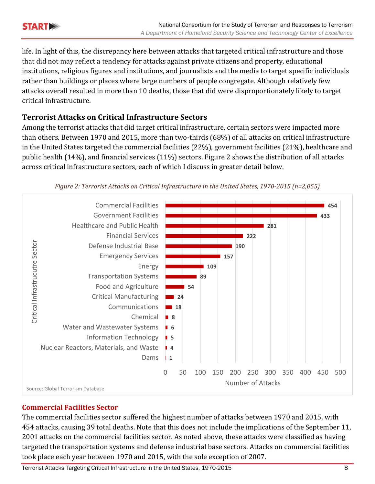

life. In light of this, the discrepancy here between attacks that targeted critical infrastructure and those that did not may reflect a tendency for attacks against private citizens and property, educational institutions, religious figures and institutions, and journalists and the media to target specific individuals rather than buildings or places where large numbers of people congregate. Although relatively few attacks overall resulted in more than 10 deaths, those that did were disproportionately likely to target critical infrastructure. 

# **Terrorist Attacks on Critical Infrastructure Sectors**

Among the terrorist attacks that did target critical infrastructure, certain sectors were impacted more than others. Between 1970 and 2015, more than two-thirds (68%) of all attacks on critical infrastructure in the United States targeted the commercial facilities  $(22%)$ , government facilities  $(21%)$ , healthcare and public health  $(14%)$ , and financial services  $(11%)$  sectors. Figure 2 shows the distribution of all attacks across critical infrastructure sectors, each of which I discuss in greater detail below.



*Figure 2: Terrorist Attacks on Critical Infrastructure in the United States, 1970‐2015 (n=2,055)*

#### **Commercial Facilities Sector**

The commercial facilities sector suffered the highest number of attacks between 1970 and 2015, with 454 attacks, causing 39 total deaths. Note that this does not include the implications of the September 11, 2001 attacks on the commercial facilities sector. As noted above, these attacks were classified as having targeted the transportation systems and defense industrial base sectors. Attacks on commercial facilities took place each year between 1970 and 2015, with the sole exception of 2007.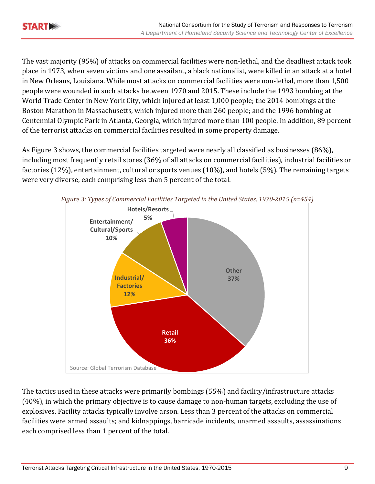The vast majority (95%) of attacks on commercial facilities were non-lethal, and the deadliest attack took place in 1973, when seven victims and one assailant, a black nationalist, were killed in an attack at a hotel in New Orleans, Louisiana. While most attacks on commercial facilities were non-lethal, more than 1,500 people were wounded in such attacks between 1970 and 2015. These include the 1993 bombing at the World Trade Center in New York City, which injured at least 1,000 people; the 2014 bombings at the Boston Marathon in Massachusetts, which injured more than 260 people; and the 1996 bombing at Centennial Olympic Park in Atlanta, Georgia, which injured more than 100 people. In addition, 89 percent of the terrorist attacks on commercial facilities resulted in some property damage.

As Figure 3 shows, the commercial facilities targeted were nearly all classified as businesses (86%), including most frequently retail stores (36% of all attacks on commercial facilities), industrial facilities or factories  $(12\%)$ , entertainment, cultural or sports venues  $(10\%)$ , and hotels  $(5\%)$ . The remaining targets were very diverse, each comprising less than 5 percent of the total.



The tactics used in these attacks were primarily bombings  $(55%)$  and facility/infrastructure attacks  $(40%)$ , in which the primary objective is to cause damage to non-human targets, excluding the use of explosives. Facility attacks typically involve arson. Less than 3 percent of the attacks on commercial facilities were armed assaults; and kidnappings, barricade incidents, unarmed assaults, assassinations each comprised less than 1 percent of the total.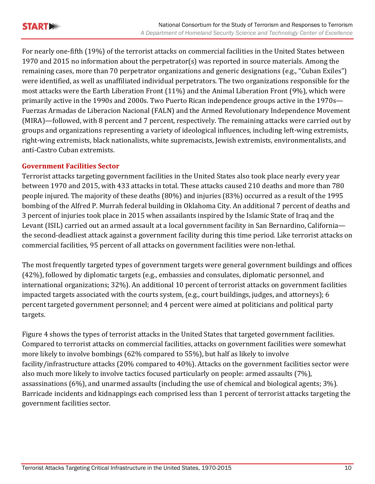

For nearly one-fifth (19%) of the terrorist attacks on commercial facilities in the United States between 1970 and 2015 no information about the perpetrator(s) was reported in source materials. Among the remaining cases, more than 70 perpetrator organizations and generic designations (e.g., "Cuban Exiles") were identified, as well as unaffiliated individual perpetrators. The two organizations responsible for the most attacks were the Earth Liberation Front (11%) and the Animal Liberation Front (9%), which were primarily active in the 1990s and 2000s. Two Puerto Rican independence groups active in the 1970s— Fuerzas Armadas de Liberacion Nacional (FALN) and the Armed Revolutionary Independence Movement (MIRA)—followed, with 8 percent and 7 percent, respectively. The remaining attacks were carried out by groups and organizations representing a variety of ideological influences, including left-wing extremists, right-wing extremists, black nationalists, white supremacists, Jewish extremists, environmentalists, and anti‐Castro Cuban extremists. 

#### **Government Facilities Sector**

Terrorist attacks targeting government facilities in the United States also took place nearly every year between 1970 and 2015, with 433 attacks in total. These attacks caused 210 deaths and more than 780 people injured. The majority of these deaths (80%) and injuries (83%) occurred as a result of the 1995 bombing of the Alfred P. Murrah federal building in Oklahoma City. An additional 7 percent of deaths and 3 percent of injuries took place in 2015 when assailants inspired by the Islamic State of Iraq and the Levant (ISIL) carried out an armed assault at a local government facility in San Bernardino, California the second-deadliest attack against a government facility during this time period. Like terrorist attacks on commercial facilities, 95 percent of all attacks on government facilities were non-lethal.

The most frequently targeted types of government targets were general government buildings and offices (42%), followed by diplomatic targets (e.g., embassies and consulates, diplomatic personnel, and international organizations; 32%). An additional 10 percent of terrorist attacks on government facilities impacted targets associated with the courts system, (e.g., court buildings, judges, and attorneys); 6 percent targeted government personnel; and 4 percent were aimed at politicians and political party targets. 

Figure 4 shows the types of terrorist attacks in the United States that targeted government facilities. Compared to terrorist attacks on commercial facilities, attacks on government facilities were somewhat more likely to involve bombings  $(62\%$  compared to  $55\%$ ), but half as likely to involve facility/infrastructure attacks (20% compared to 40%). Attacks on the government facilities sector were also much more likely to involve tactics focused particularly on people: armed assaults (7%), assassinations  $(6\%)$ , and unarmed assaults (including the use of chemical and biological agents;  $3\%$ ). Barricade incidents and kidnappings each comprised less than 1 percent of terrorist attacks targeting the government facilities sector.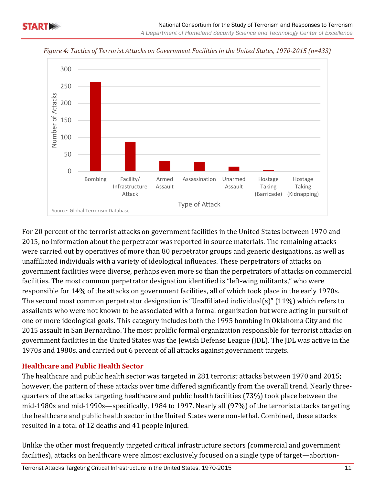



*Figure 4: Tactics of Terrorist Attacks on Government Facilities in the United States, 1970‐2015 (n=433)*

For 20 percent of the terrorist attacks on government facilities in the United States between 1970 and 2015, no information about the perpetrator was reported in source materials. The remaining attacks were carried out by operatives of more than 80 perpetrator groups and generic designations, as well as unaffiliated individuals with a variety of ideological influences. These perpetrators of attacks on government facilities were diverse, perhaps even more so than the perpetrators of attacks on commercial facilities. The most common perpetrator designation identified is "left-wing militants," who were responsible for 14% of the attacks on government facilities, all of which took place in the early 1970s. The second most common perpetrator designation is "Unaffiliated individual(s)" (11%) which refers to assailants who were not known to be associated with a formal organization but were acting in pursuit of one or more ideological goals. This category includes both the 1995 bombing in Oklahoma City and the 2015 assault in San Bernardino. The most prolific formal organization responsible for terrorist attacks on government facilities in the United States was the Jewish Defense League (JDL). The JDL was active in the 1970s and 1980s, and carried out 6 percent of all attacks against government targets.

#### **Healthcare and Public Health Sector**

The healthcare and public health sector was targeted in 281 terrorist attacks between 1970 and 2015; however, the pattern of these attacks over time differed significantly from the overall trend. Nearly threequarters of the attacks targeting healthcare and public health facilities (73%) took place between the mid-1980s and mid-1990s—specifically, 1984 to 1997. Nearly all (97%) of the terrorist attacks targeting the healthcare and public health sector in the United States were non-lethal. Combined, these attacks resulted in a total of 12 deaths and 41 people injured.

Unlike the other most frequently targeted critical infrastructure sectors (commercial and government facilities), attacks on healthcare were almost exclusively focused on a single type of target—abortion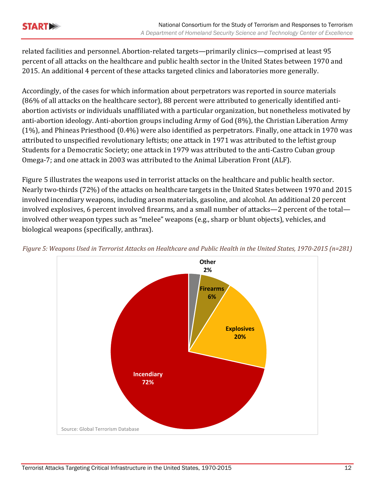related facilities and personnel. Abortion-related targets—primarily clinics—comprised at least 95 percent of all attacks on the healthcare and public health sector in the United States between 1970 and 2015. An additional 4 percent of these attacks targeted clinics and laboratories more generally.

Accordingly, of the cases for which information about perpetrators was reported in source materials (86% of all attacks on the healthcare sector), 88 percent were attributed to generically identified antiabortion activists or individuals unaffiliated with a particular organization, but nonetheless motivated by anti-abortion ideology. Anti-abortion groups including Army of God (8%), the Christian Liberation Army  $(1\%)$ , and Phineas Priesthood  $(0.4\%)$  were also identified as perpetrators. Finally, one attack in 1970 was attributed to unspecified revolutionary leftists; one attack in 1971 was attributed to the leftist group Students for a Democratic Society; one attack in 1979 was attributed to the anti-Castro Cuban group Omega-7; and one attack in 2003 was attributed to the Animal Liberation Front (ALF).

Figure 5 illustrates the weapons used in terrorist attacks on the healthcare and public health sector. Nearly two-thirds (72%) of the attacks on healthcare targets in the United States between 1970 and 2015 involved incendiary weapons, including arson materials, gasoline, and alcohol. An additional 20 percent involved explosives, 6 percent involved firearms, and a small number of attacks—2 percent of the total involved other weapon types such as "melee" weapons (e.g., sharp or blunt objects), vehicles, and biological weapons (specifically, anthrax).



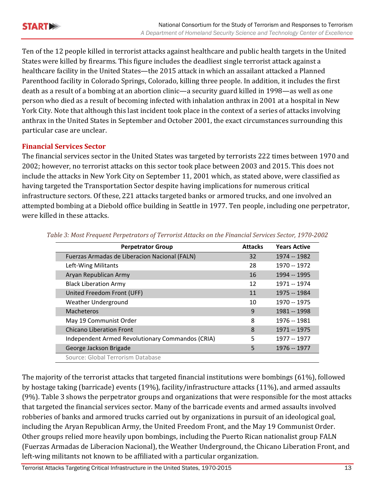Ten of the 12 people killed in terrorist attacks against healthcare and public health targets in the United States were killed by firearms. This figure includes the deadliest single terrorist attack against a healthcare facility in the United States—the 2015 attack in which an assailant attacked a Planned Parenthood facility in Colorado Springs, Colorado, killing three people. In addition, it includes the first death as a result of a bombing at an abortion clinic—a security guard killed in 1998—as well as one person who died as a result of becoming infected with inhalation anthrax in 2001 at a hospital in New York City. Note that although this last incident took place in the context of a series of attacks involving anthrax in the United States in September and October 2001, the exact circumstances surrounding this particular case are unclear.

#### **Financial Services Sector**

The financial services sector in the United States was targeted by terrorists 222 times between 1970 and 2002; however, no terrorist attacks on this sector took place between 2003 and 2015. This does not include the attacks in New York City on September 11, 2001 which, as stated above, were classified as having targeted the Transportation Sector despite having implications for numerous critical infrastructure sectors. Of these, 221 attacks targeted banks or armored trucks, and one involved an attempted bombing at a Diebold office building in Seattle in 1977. Ten people, including one perpetrator, were killed in these attacks.

| <b>Perpetrator Group</b>                         | <b>Attacks</b> | <b>Years Active</b> |
|--------------------------------------------------|----------------|---------------------|
| Fuerzas Armadas de Liberacion Nacional (FALN)    | 32             | 1974 -- 1982        |
| Left-Wing Militants                              | 28             | 1970 -- 1972        |
| Aryan Republican Army                            | 16             | 1994 -- 1995        |
| <b>Black Liberation Army</b>                     | 12             | 1971 -- 1974        |
| United Freedom Front (UFF)                       | 11             | 1975 -- 1984        |
| <b>Weather Underground</b>                       | 10             | 1970 -- 1975        |
| <b>Macheteros</b>                                | 9              | 1981 -- 1998        |
| May 19 Communist Order                           | 8              | 1976 -- 1981        |
| <b>Chicano Liberation Front</b>                  | 8              | 1971 -- 1975        |
| Independent Armed Revolutionary Commandos (CRIA) | 5              | 1977 -- 1977        |
| George Jackson Brigade                           | 5              | 1976 -- 1977        |
| Source: Global Terrorism Database                |                |                     |

*Table 3: Most Frequent Perpetrators of Terrorist Attacks on the Financial Services Sector, 1970‐2002*

The majority of the terrorist attacks that targeted financial institutions were bombings  $(61%)$ , followed by hostage taking (barricade) events (19%), facility/infrastructure attacks (11%), and armed assaults (9%). Table 3 shows the perpetrator groups and organizations that were responsible for the most attacks that targeted the financial services sector. Many of the barricade events and armed assaults involved robberies of banks and armored trucks carried out by organizations in pursuit of an ideological goal, including the Aryan Republican Army, the United Freedom Front, and the May 19 Communist Order. Other groups relied more heavily upon bombings, including the Puerto Rican nationalist group FALN (Fuerzas Armadas de Liberacion Nacional), the Weather Underground, the Chicano Liberation Front, and left-wing militants not known to be affiliated with a particular organization.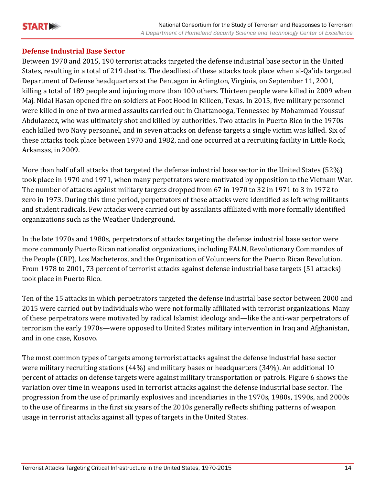

#### **Defense Industrial Base Sector**

Between 1970 and 2015, 190 terrorist attacks targeted the defense industrial base sector in the United States, resulting in a total of 219 deaths. The deadliest of these attacks took place when al-Qa'ida targeted Department of Defense headquarters at the Pentagon in Arlington, Virginia, on September 11, 2001, killing a total of 189 people and injuring more than 100 others. Thirteen people were killed in 2009 when Maj. Nidal Hasan opened fire on soldiers at Foot Hood in Killeen, Texas. In 2015, five military personnel were killed in one of two armed assaults carried out in Chattanooga, Tennessee by Mohammad Youssuf Abdulazeez, who was ultimately shot and killed by authorities. Two attacks in Puerto Rico in the 1970s each killed two Navy personnel, and in seven attacks on defense targets a single victim was killed. Six of these attacks took place between 1970 and 1982, and one occurred at a recruiting facility in Little Rock, Arkansas, in 2009.

More than half of all attacks that targeted the defense industrial base sector in the United States (52%) took place in 1970 and 1971, when many perpetrators were motivated by opposition to the Vietnam War. The number of attacks against military targets dropped from 67 in 1970 to 32 in 1971 to 3 in 1972 to zero in 1973. During this time period, perpetrators of these attacks were identified as left-wing militants and student radicals. Few attacks were carried out by assailants affiliated with more formally identified organizations such as the Weather Underground.

In the late 1970s and 1980s, perpetrators of attacks targeting the defense industrial base sector were more commonly Puerto Rican nationalist organizations, including FALN, Revolutionary Commandos of the People (CRP), Los Macheteros, and the Organization of Volunteers for the Puerto Rican Revolution. From 1978 to 2001, 73 percent of terrorist attacks against defense industrial base targets (51 attacks) took place in Puerto Rico.

Ten of the 15 attacks in which perpetrators targeted the defense industrial base sector between 2000 and 2015 were carried out by individuals who were not formally affiliated with terrorist organizations. Many of these perpetrators were motivated by radical Islamist ideology and—like the anti-war perpetrators of terrorism the early 1970s—were opposed to United States military intervention in Iraq and Afghanistan, and in one case, Kosovo.

The most common types of targets among terrorist attacks against the defense industrial base sector were military recruiting stations  $(44%)$  and military bases or headquarters  $(34%)$ . An additional 10 percent of attacks on defense targets were against military transportation or patrols. Figure 6 shows the variation over time in weapons used in terrorist attacks against the defense industrial base sector. The progression from the use of primarily explosives and incendiaries in the 1970s, 1980s, 1990s, and 2000s to the use of firearms in the first six years of the 2010s generally reflects shifting patterns of weapon usage in terrorist attacks against all types of targets in the United States.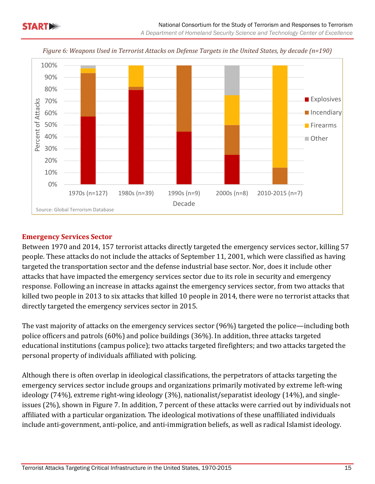



*Figure 6: Weapons Used in Terrorist Attacks on Defense Targets in the United States, by decade (n=190)*

#### **Emergency Services Sector**

Between 1970 and 2014, 157 terrorist attacks directly targeted the emergency services sector, killing 57 people. These attacks do not include the attacks of September 11, 2001, which were classified as having targeted the transportation sector and the defense industrial base sector. Nor, does it include other attacks that have impacted the emergency services sector due to its role in security and emergency response. Following an increase in attacks against the emergency services sector, from two attacks that killed two people in 2013 to six attacks that killed 10 people in 2014, there were no terrorist attacks that directly targeted the emergency services sector in 2015.

The vast majority of attacks on the emergency services sector (96%) targeted the police—including both police officers and patrols (60%) and police buildings (36%). In addition, three attacks targeted educational institutions (campus police); two attacks targeted firefighters; and two attacks targeted the personal property of individuals affiliated with policing.

Although there is often overlap in ideological classifications, the perpetrators of attacks targeting the emergency services sector include groups and organizations primarily motivated by extreme left-wing ideology (74%), extreme right-wing ideology (3%), nationalist/separatist ideology (14%), and singleissues (2%), shown in Figure 7. In addition, 7 percent of these attacks were carried out by individuals not affiliated with a particular organization. The ideological motivations of these unaffiliated individuals include anti-government, anti-police, and anti-immigration beliefs, as well as radical Islamist ideology.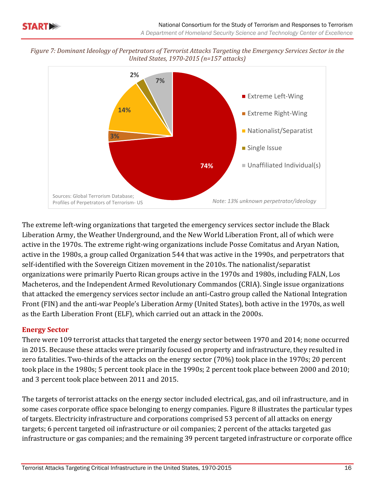



The extreme left-wing organizations that targeted the emergency services sector include the Black Liberation Army, the Weather Underground, and the New World Liberation Front, all of which were active in the 1970s. The extreme right-wing organizations include Posse Comitatus and Aryan Nation, active in the 1980s, a group called Organization 544 that was active in the 1990s, and perpetrators that self-identified with the Sovereign Citizen movement in the 2010s. The nationalist/separatist organizations were primarily Puerto Rican groups active in the 1970s and 1980s, including FALN, Los Macheteros, and the Independent Armed Revolutionary Commandos (CRIA). Single issue organizations that attacked the emergency services sector include an anti-Castro group called the National Integration Front (FIN) and the anti-war People's Liberation Army (United States), both active in the 1970s, as well as the Earth Liberation Front (ELF), which carried out an attack in the 2000s.

#### **Energy Sector**

There were 109 terrorist attacks that targeted the energy sector between 1970 and 2014; none occurred in 2015. Because these attacks were primarily focused on property and infrastructure, they resulted in zero fatalities. Two-thirds of the attacks on the energy sector (70%) took place in the 1970s; 20 percent took place in the 1980s; 5 percent took place in the 1990s; 2 percent took place between 2000 and 2010; and 3 percent took place between 2011 and 2015.

The targets of terrorist attacks on the energy sector included electrical, gas, and oil infrastructure, and in some cases corporate office space belonging to energy companies. Figure 8 illustrates the particular types of targets. Electricity infrastructure and corporations comprised 53 percent of all attacks on energy targets; 6 percent targeted oil infrastructure or oil companies; 2 percent of the attacks targeted gas infrastructure or gas companies; and the remaining 39 percent targeted infrastructure or corporate office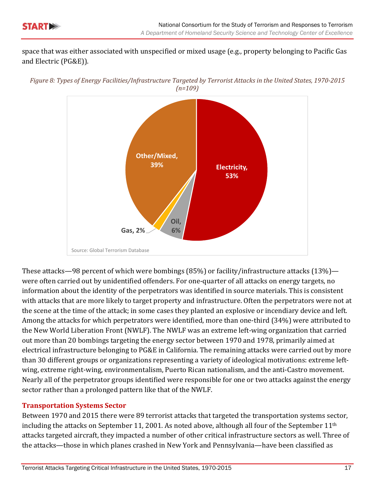

space that was either associated with unspecified or mixed usage (e.g., property belonging to Pacific Gas and Electric (PG&E)).

Figure 8: Types of Energy Facilities/Infrastructure Targeted by Terrorist Attacks in the United States, 1970-2015 *(n=109)*



These attacks—98 percent of which were bombings  $(85%)$  or facility/infrastructure attacks  $(13%)$  were often carried out by unidentified offenders. For one-quarter of all attacks on energy targets, no information about the identity of the perpetrators was identified in source materials. This is consistent with attacks that are more likely to target property and infrastructure. Often the perpetrators were not at the scene at the time of the attack; in some cases they planted an explosive or incendiary device and left. Among the attacks for which perpetrators were identified, more than one-third (34%) were attributed to the New World Liberation Front (NWLF). The NWLF was an extreme left-wing organization that carried out more than 20 bombings targeting the energy sector between 1970 and 1978, primarily aimed at electrical infrastructure belonging to PG&E in California. The remaining attacks were carried out by more than 30 different groups or organizations representing a variety of ideological motivations: extreme leftwing, extreme right-wing, environmentalism, Puerto Rican nationalism, and the anti-Castro movement. Nearly all of the perpetrator groups identified were responsible for one or two attacks against the energy sector rather than a prolonged pattern like that of the NWLF.

#### **Transportation Systems Sector**

Between 1970 and 2015 there were 89 terrorist attacks that targeted the transportation systems sector, including the attacks on September 11, 2001. As noted above, although all four of the September  $11<sup>th</sup>$ attacks targeted aircraft, they impacted a number of other critical infrastructure sectors as well. Three of the attacks—those in which planes crashed in New York and Pennsylvania—have been classified as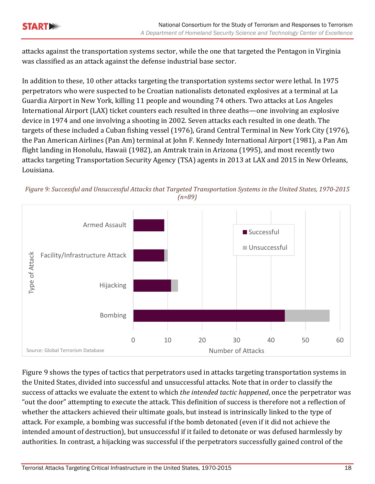attacks against the transportation systems sector, while the one that targeted the Pentagon in Virginia was classified as an attack against the defense industrial base sector.

In addition to these, 10 other attacks targeting the transportation systems sector were lethal. In 1975 perpetrators who were suspected to be Croatian nationalists detonated explosives at a terminal at La Guardia Airport in New York, killing 11 people and wounding 74 others. Two attacks at Los Angeles International Airport (LAX) ticket counters each resulted in three deaths—one involving an explosive device in 1974 and one involving a shooting in 2002. Seven attacks each resulted in one death. The targets of these included a Cuban fishing vessel (1976), Grand Central Terminal in New York City (1976), the Pan American Airlines (Pan Am) terminal at John F. Kennedy International Airport (1981), a Pan Am flight landing in Honolulu, Hawaii (1982), an Amtrak train in Arizona (1995), and most recently two attacks targeting Transportation Security Agency (TSA) agents in 2013 at LAX and 2015 in New Orleans, Louisiana. 



Figure 9: Successful and Unsuccessful Attacks that Targeted Transportation Systems in the United States, 1970-2015 *(n=89)*

Figure 9 shows the types of tactics that perpetrators used in attacks targeting transportation systems in the United States, divided into successful and unsuccessful attacks. Note that in order to classify the success of attacks we evaluate the extent to which *the intended tactic happened*, once the perpetrator was "out the door" attempting to execute the attack. This definition of success is therefore not a reflection of whether the attackers achieved their ultimate goals, but instead is intrinsically linked to the type of attack. For example, a bombing was successful if the bomb detonated (even if it did not achieve the intended amount of destruction), but unsuccessful if it failed to detonate or was defused harmlessly by authorities. In contrast, a hijacking was successful if the perpetrators successfully gained control of the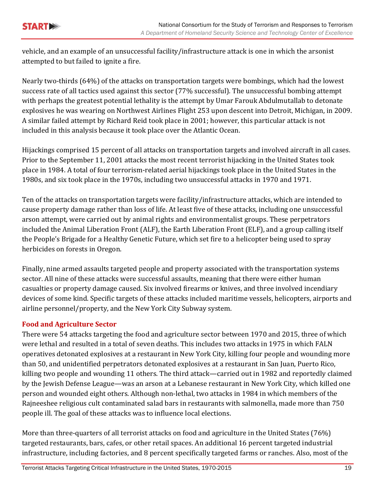

vehicle, and an example of an unsuccessful facility/infrastructure attack is one in which the arsonist attempted to but failed to ignite a fire.

Nearly two-thirds  $(64%)$  of the attacks on transportation targets were bombings, which had the lowest success rate of all tactics used against this sector (77% successful). The unsuccessful bombing attempt with perhaps the greatest potential lethality is the attempt by Umar Farouk Abdulmutallab to detonate explosives he was wearing on Northwest Airlines Flight 253 upon descent into Detroit, Michigan, in 2009. A similar failed attempt by Richard Reid took place in 2001; however, this particular attack is not included in this analysis because it took place over the Atlantic Ocean.

Hijackings comprised 15 percent of all attacks on transportation targets and involved aircraft in all cases. Prior to the September 11, 2001 attacks the most recent terrorist hijacking in the United States took place in 1984. A total of four terrorism-related aerial hijackings took place in the United States in the 1980s, and six took place in the 1970s, including two unsuccessful attacks in 1970 and 1971.

Ten of the attacks on transportation targets were facility/infrastructure attacks, which are intended to cause property damage rather than loss of life. At least five of these attacks, including one unsuccessful arson attempt, were carried out by animal rights and environmentalist groups. These perpetrators included the Animal Liberation Front (ALF), the Earth Liberation Front (ELF), and a group calling itself the People's Brigade for a Healthy Genetic Future, which set fire to a helicopter being used to spray herbicides on forests in Oregon.

Finally, nine armed assaults targeted people and property associated with the transportation systems sector. All nine of these attacks were successful assaults, meaning that there were either human casualties or property damage caused. Six involved firearms or knives, and three involved incendiary devices of some kind. Specific targets of these attacks included maritime vessels, helicopters, airports and airline personnel/property, and the New York City Subway system.

#### **Food and Agriculture Sector**

There were 54 attacks targeting the food and agriculture sector between 1970 and 2015, three of which were lethal and resulted in a total of seven deaths. This includes two attacks in 1975 in which FALN operatives detonated explosives at a restaurant in New York City, killing four people and wounding more than 50, and unidentified perpetrators detonated explosives at a restaurant in San Juan, Puerto Rico, killing two people and wounding 11 others. The third attack—carried out in 1982 and reportedly claimed by the Jewish Defense League—was an arson at a Lebanese restaurant in New York City, which killed one person and wounded eight others. Although non-lethal, two attacks in 1984 in which members of the Rajneeshee religious cult contaminated salad bars in restaurants with salmonella, made more than 750 people ill. The goal of these attacks was to influence local elections.

More than three-quarters of all terrorist attacks on food and agriculture in the United States (76%) targeted restaurants, bars, cafes, or other retail spaces. An additional 16 percent targeted industrial infrastructure, including factories, and 8 percent specifically targeted farms or ranches. Also, most of the